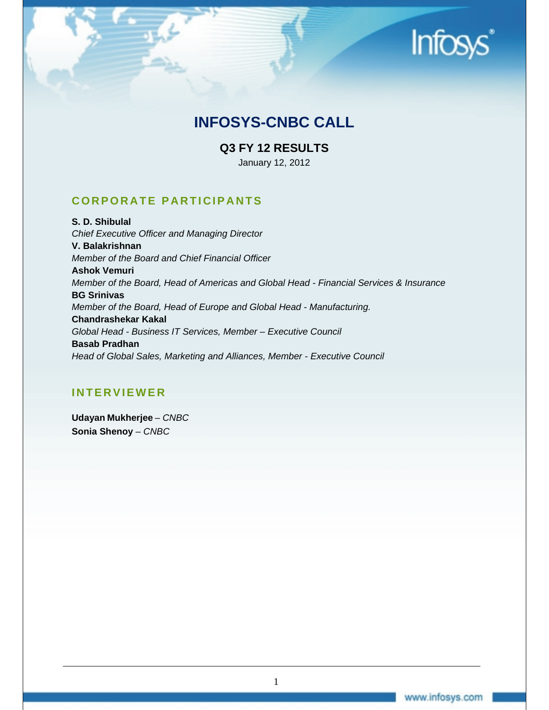# **Infos**

# **INFOSYS-CNBC CALL**

# **Q3 FY 12 RESULTS**

January 12, 2012

# **CORPORATE PARTICIPANTS**

**S. D. Shibulal**  *Chief Executive Officer and Managing Director*  **V. Balakrishnan**  *Member of the Board and Chief Financial Officer*  **Ashok Vemuri**  *Member of the Board, Head of Americas and Global Head - Financial Services & Insurance*  **BG Srinivas**  *Member of the Board, Head of Europe and Global Head - Manufacturing.*  **Chandrashekar Kakal**  *Global Head - Business IT Services, Member – Executive Council*  **Basab Pradhan**  *Head of Global Sales, Marketing and Alliances, Member - Executive Council* 

# **INTERVIEWER**

**Udayan Mukherjee** – *CNBC* **Sonia Shenoy** *– CNBC*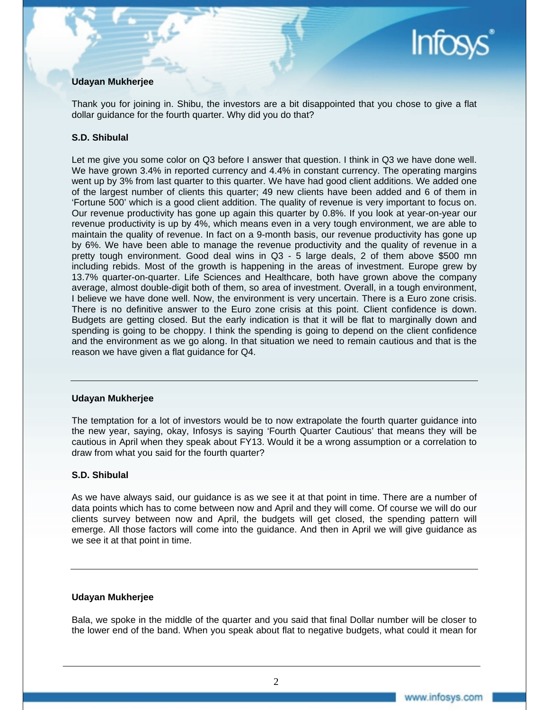# Infos

# **Udayan Mukherjee**

Thank you for joining in. Shibu, the investors are a bit disappointed that you chose to give a flat dollar guidance for the fourth quarter. Why did you do that?

# **S.D. Shibulal**

Let me give you some color on Q3 before I answer that question. I think in Q3 we have done well. We have grown 3.4% in reported currency and 4.4% in constant currency. The operating margins went up by 3% from last quarter to this quarter. We have had good client additions. We added one of the largest number of clients this quarter; 49 new clients have been added and 6 of them in 'Fortune 500' which is a good client addition. The quality of revenue is very important to focus on. Our revenue productivity has gone up again this quarter by 0.8%. If you look at year-on-year our revenue productivity is up by 4%, which means even in a very tough environment, we are able to maintain the quality of revenue. In fact on a 9-month basis, our revenue productivity has gone up by 6%. We have been able to manage the revenue productivity and the quality of revenue in a pretty tough environment. Good deal wins in Q3 - 5 large deals, 2 of them above \$500 mn including rebids. Most of the growth is happening in the areas of investment. Europe grew by 13.7% quarter-on-quarter. Life Sciences and Healthcare, both have grown above the company average, almost double-digit both of them, so area of investment. Overall, in a tough environment, I believe we have done well. Now, the environment is very uncertain. There is a Euro zone crisis. There is no definitive answer to the Euro zone crisis at this point. Client confidence is down. Budgets are getting closed. But the early indication is that it will be flat to marginally down and spending is going to be choppy. I think the spending is going to depend on the client confidence and the environment as we go along. In that situation we need to remain cautious and that is the reason we have given a flat guidance for Q4.

# **Udayan Mukherjee**

The temptation for a lot of investors would be to now extrapolate the fourth quarter guidance into the new year, saying, okay, Infosys is saying 'Fourth Quarter Cautious' that means they will be cautious in April when they speak about FY13. Would it be a wrong assumption or a correlation to draw from what you said for the fourth quarter?

# **S.D. Shibulal**

As we have always said, our guidance is as we see it at that point in time. There are a number of data points which has to come between now and April and they will come. Of course we will do our clients survey between now and April, the budgets will get closed, the spending pattern will emerge. All those factors will come into the guidance. And then in April we will give guidance as we see it at that point in time.

# **Udayan Mukherjee**

Bala, we spoke in the middle of the quarter and you said that final Dollar number will be closer to the lower end of the band. When you speak about flat to negative budgets, what could it mean for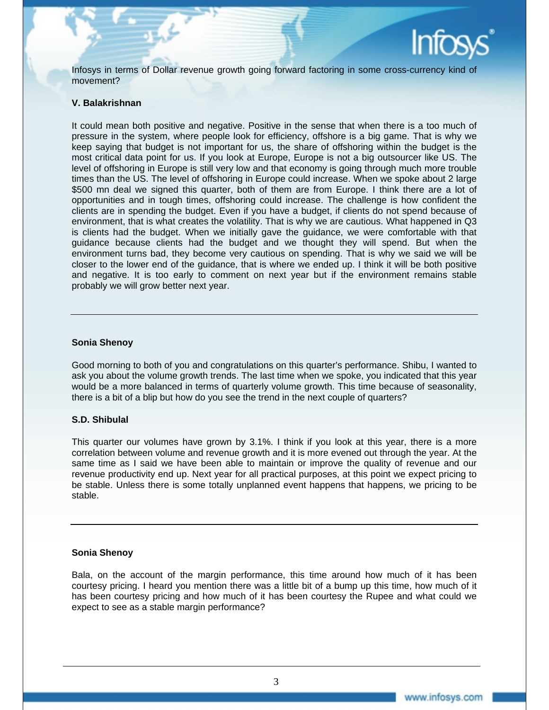

Infosys in terms of Dollar revenue growth going forward factoring in some cross-currency kind of movement?

# **V. Balakrishnan**

It could mean both positive and negative. Positive in the sense that when there is a too much of pressure in the system, where people look for efficiency, offshore is a big game. That is why we keep saying that budget is not important for us, the share of offshoring within the budget is the most critical data point for us. If you look at Europe, Europe is not a big outsourcer like US. The level of offshoring in Europe is still very low and that economy is going through much more trouble times than the US. The level of offshoring in Europe could increase. When we spoke about 2 large \$500 mn deal we signed this quarter, both of them are from Europe. I think there are a lot of opportunities and in tough times, offshoring could increase. The challenge is how confident the clients are in spending the budget. Even if you have a budget, if clients do not spend because of environment, that is what creates the volatility. That is why we are cautious. What happened in Q3 is clients had the budget. When we initially gave the guidance, we were comfortable with that guidance because clients had the budget and we thought they will spend. But when the environment turns bad, they become very cautious on spending. That is why we said we will be closer to the lower end of the guidance, that is where we ended up. I think it will be both positive and negative. It is too early to comment on next year but if the environment remains stable probably we will grow better next year.

# **Sonia Shenoy**

Good morning to both of you and congratulations on this quarter's performance. Shibu, I wanted to ask you about the volume growth trends. The last time when we spoke, you indicated that this year would be a more balanced in terms of quarterly volume growth. This time because of seasonality, there is a bit of a blip but how do you see the trend in the next couple of quarters?

# **S.D. Shibulal**

This quarter our volumes have grown by 3.1%. I think if you look at this year, there is a more correlation between volume and revenue growth and it is more evened out through the year. At the same time as I said we have been able to maintain or improve the quality of revenue and our revenue productivity end up. Next year for all practical purposes, at this point we expect pricing to be stable. Unless there is some totally unplanned event happens that happens, we pricing to be stable.

# **Sonia Shenoy**

Bala, on the account of the margin performance, this time around how much of it has been courtesy pricing. I heard you mention there was a little bit of a bump up this time, how much of it has been courtesy pricing and how much of it has been courtesy the Rupee and what could we expect to see as a stable margin performance?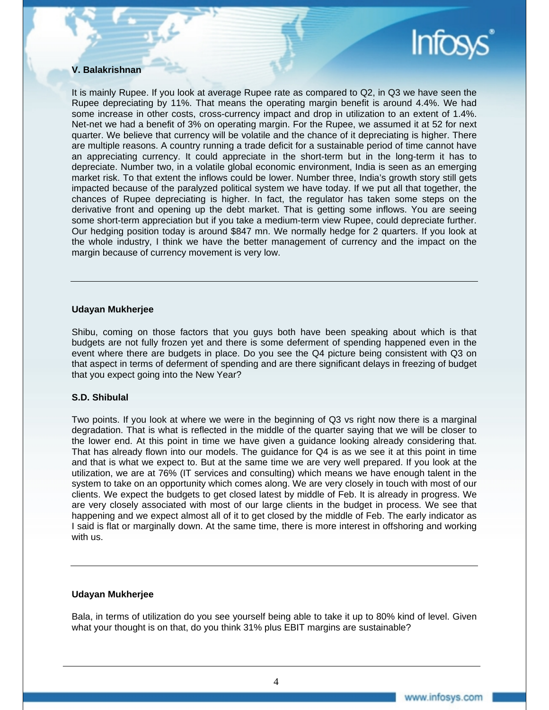

# **V. Balakrishnan**

It is mainly Rupee. If you look at average Rupee rate as compared to Q2, in Q3 we have seen the Rupee depreciating by 11%. That means the operating margin benefit is around 4.4%. We had some increase in other costs, cross-currency impact and drop in utilization to an extent of 1.4%. Net-net we had a benefit of 3% on operating margin. For the Rupee, we assumed it at 52 for next quarter. We believe that currency will be volatile and the chance of it depreciating is higher. There are multiple reasons. A country running a trade deficit for a sustainable period of time cannot have an appreciating currency. It could appreciate in the short-term but in the long-term it has to depreciate. Number two, in a volatile global economic environment, India is seen as an emerging market risk. To that extent the inflows could be lower. Number three, India's growth story still gets impacted because of the paralyzed political system we have today. If we put all that together, the chances of Rupee depreciating is higher. In fact, the regulator has taken some steps on the derivative front and opening up the debt market. That is getting some inflows. You are seeing some short-term appreciation but if you take a medium-term view Rupee, could depreciate further. Our hedging position today is around \$847 mn. We normally hedge for 2 quarters. If you look at the whole industry, I think we have the better management of currency and the impact on the margin because of currency movement is very low.

# **Udayan Mukherjee**

Shibu, coming on those factors that you guys both have been speaking about which is that budgets are not fully frozen yet and there is some deferment of spending happened even in the event where there are budgets in place. Do you see the Q4 picture being consistent with Q3 on that aspect in terms of deferment of spending and are there significant delays in freezing of budget that you expect going into the New Year?

# **S.D. Shibulal**

Two points. If you look at where we were in the beginning of Q3 vs right now there is a marginal degradation. That is what is reflected in the middle of the quarter saying that we will be closer to the lower end. At this point in time we have given a guidance looking already considering that. That has already flown into our models. The guidance for Q4 is as we see it at this point in time and that is what we expect to. But at the same time we are very well prepared. If you look at the utilization, we are at 76% (IT services and consulting) which means we have enough talent in the system to take on an opportunity which comes along. We are very closely in touch with most of our clients. We expect the budgets to get closed latest by middle of Feb. It is already in progress. We are very closely associated with most of our large clients in the budget in process. We see that happening and we expect almost all of it to get closed by the middle of Feb. The early indicator as I said is flat or marginally down. At the same time, there is more interest in offshoring and working with us.

# **Udayan Mukherjee**

Bala, in terms of utilization do you see yourself being able to take it up to 80% kind of level. Given what your thought is on that, do you think 31% plus EBIT margins are sustainable?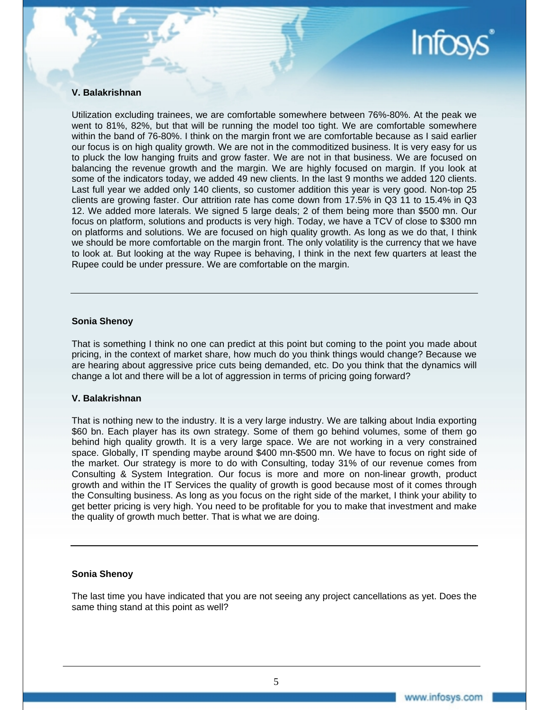

# **V. Balakrishnan**

Utilization excluding trainees, we are comfortable somewhere between 76%-80%. At the peak we went to 81%, 82%, but that will be running the model too tight. We are comfortable somewhere within the band of 76-80%. I think on the margin front we are comfortable because as I said earlier our focus is on high quality growth. We are not in the commoditized business. It is very easy for us to pluck the low hanging fruits and grow faster. We are not in that business. We are focused on balancing the revenue growth and the margin. We are highly focused on margin. If you look at some of the indicators today, we added 49 new clients. In the last 9 months we added 120 clients. Last full year we added only 140 clients, so customer addition this year is very good. Non-top 25 clients are growing faster. Our attrition rate has come down from 17.5% in Q3 11 to 15.4% in Q3 12. We added more laterals. We signed 5 large deals; 2 of them being more than \$500 mn. Our focus on platform, solutions and products is very high. Today, we have a TCV of close to \$300 mn on platforms and solutions. We are focused on high quality growth. As long as we do that, I think we should be more comfortable on the margin front. The only volatility is the currency that we have to look at. But looking at the way Rupee is behaving, I think in the next few quarters at least the Rupee could be under pressure. We are comfortable on the margin.

# **Sonia Shenoy**

That is something I think no one can predict at this point but coming to the point you made about pricing, in the context of market share, how much do you think things would change? Because we are hearing about aggressive price cuts being demanded, etc. Do you think that the dynamics will change a lot and there will be a lot of aggression in terms of pricing going forward?

# **V. Balakrishnan**

That is nothing new to the industry. It is a very large industry. We are talking about India exporting \$60 bn. Each player has its own strategy. Some of them go behind volumes, some of them go behind high quality growth. It is a very large space. We are not working in a very constrained space. Globally, IT spending maybe around \$400 mn-\$500 mn. We have to focus on right side of the market. Our strategy is more to do with Consulting, today 31% of our revenue comes from Consulting & System Integration. Our focus is more and more on non-linear growth, product growth and within the IT Services the quality of growth is good because most of it comes through the Consulting business. As long as you focus on the right side of the market, I think your ability to get better pricing is very high. You need to be profitable for you to make that investment and make the quality of growth much better. That is what we are doing.

# **Sonia Shenoy**

The last time you have indicated that you are not seeing any project cancellations as yet. Does the same thing stand at this point as well?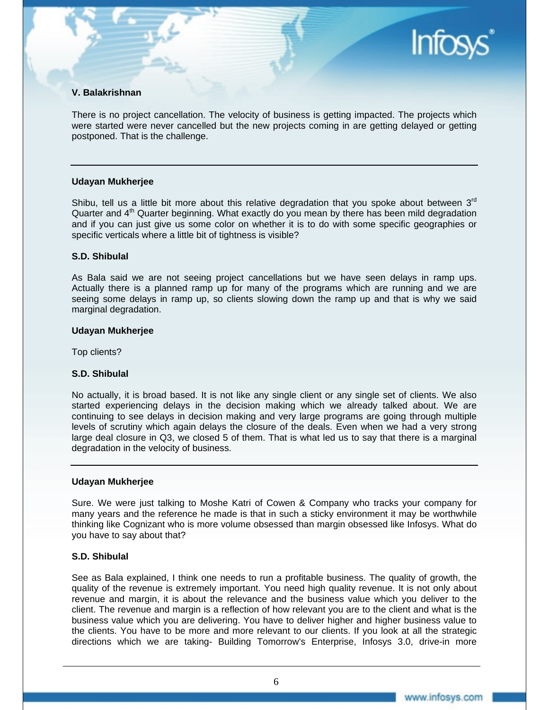# **V. Balakrishnan**

There is no project cancellation. The velocity of business is getting impacted. The projects which were started were never cancelled but the new projects coming in are getting delayed or getting postponed. That is the challenge.

# **Udayan Mukherjee**

Shibu, tell us a little bit more about this relative degradation that you spoke about between  $3<sup>rd</sup>$ Quarter and 4<sup>th</sup> Quarter beginning. What exactly do you mean by there has been mild degradation and if you can just give us some color on whether it is to do with some specific geographies or specific verticals where a little bit of tightness is visible?

# **S.D. Shibulal**

As Bala said we are not seeing project cancellations but we have seen delays in ramp ups. Actually there is a planned ramp up for many of the programs which are running and we are seeing some delays in ramp up, so clients slowing down the ramp up and that is why we said marginal degradation.

# **Udayan Mukherjee**

Top clients?

# **S.D. Shibulal**

No actually, it is broad based. It is not like any single client or any single set of clients. We also started experiencing delays in the decision making which we already talked about. We are continuing to see delays in decision making and very large programs are going through multiple levels of scrutiny which again delays the closure of the deals. Even when we had a very strong large deal closure in Q3, we closed 5 of them. That is what led us to say that there is a marginal degradation in the velocity of business.

#### **Udayan Mukherjee**

Sure. We were just talking to Moshe Katri of Cowen & Company who tracks your company for many years and the reference he made is that in such a sticky environment it may be worthwhile thinking like Cognizant who is more volume obsessed than margin obsessed like Infosys. What do you have to say about that?

# **S.D. Shibulal**

See as Bala explained, I think one needs to run a profitable business. The quality of growth, the quality of the revenue is extremely important. You need high quality revenue. It is not only about revenue and margin, it is about the relevance and the business value which you deliver to the client. The revenue and margin is a reflection of how relevant you are to the client and what is the business value which you are delivering. You have to deliver higher and higher business value to the clients. You have to be more and more relevant to our clients. If you look at all the strategic directions which we are taking- Building Tomorrow's Enterprise, Infosys 3.0, drive-in more

**Infos**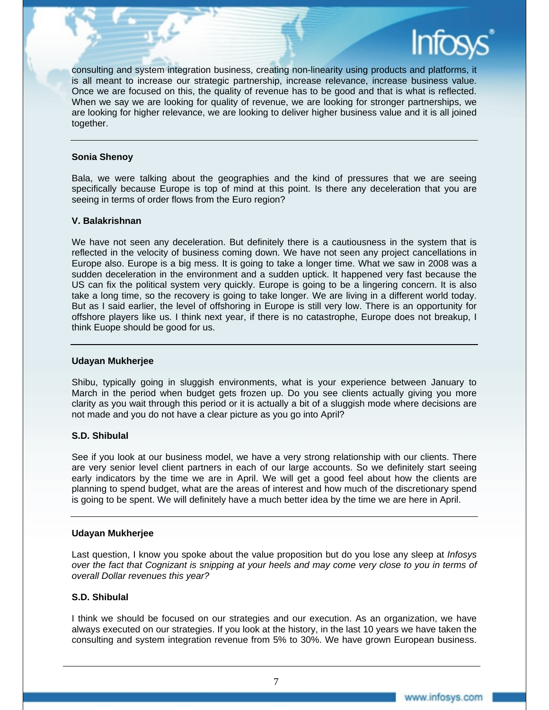consulting and system integration business, creating non-linearity using products and platforms, it is all meant to increase our strategic partnership, increase relevance, increase business value. Once we are focused on this, the quality of revenue has to be good and that is what is reflected. When we say we are looking for quality of revenue, we are looking for stronger partnerships, we are looking for higher relevance, we are looking to deliver higher business value and it is all joined together.

# **Sonia Shenoy**

Bala, we were talking about the geographies and the kind of pressures that we are seeing specifically because Europe is top of mind at this point. Is there any deceleration that you are seeing in terms of order flows from the Euro region?

# **V. Balakrishnan**

We have not seen any deceleration. But definitely there is a cautiousness in the system that is reflected in the velocity of business coming down. We have not seen any project cancellations in Europe also. Europe is a big mess. It is going to take a longer time. What we saw in 2008 was a sudden deceleration in the environment and a sudden uptick. It happened very fast because the US can fix the political system very quickly. Europe is going to be a lingering concern. It is also take a long time, so the recovery is going to take longer. We are living in a different world today. But as I said earlier, the level of offshoring in Europe is still very low. There is an opportunity for offshore players like us. I think next year, if there is no catastrophe, Europe does not breakup, I think Euope should be good for us.

# **Udayan Mukherjee**

Shibu, typically going in sluggish environments, what is your experience between January to March in the period when budget gets frozen up. Do you see clients actually giving you more clarity as you wait through this period or it is actually a bit of a sluggish mode where decisions are not made and you do not have a clear picture as you go into April?

# **S.D. Shibulal**

See if you look at our business model, we have a very strong relationship with our clients. There are very senior level client partners in each of our large accounts. So we definitely start seeing early indicators by the time we are in April. We will get a good feel about how the clients are planning to spend budget, what are the areas of interest and how much of the discretionary spend is going to be spent. We will definitely have a much better idea by the time we are here in April.

# **Udayan Mukherjee**

Last question, I know you spoke about the value proposition but do you lose any sleep at *Infosys over the fact that Cognizant is snipping at your heels and may come very close to you in terms of overall Dollar revenues this year?*

# **S.D. Shibulal**

I think we should be focused on our strategies and our execution. As an organization, we have always executed on our strategies. If you look at the history, in the last 10 years we have taken the consulting and system integration revenue from 5% to 30%. We have grown European business.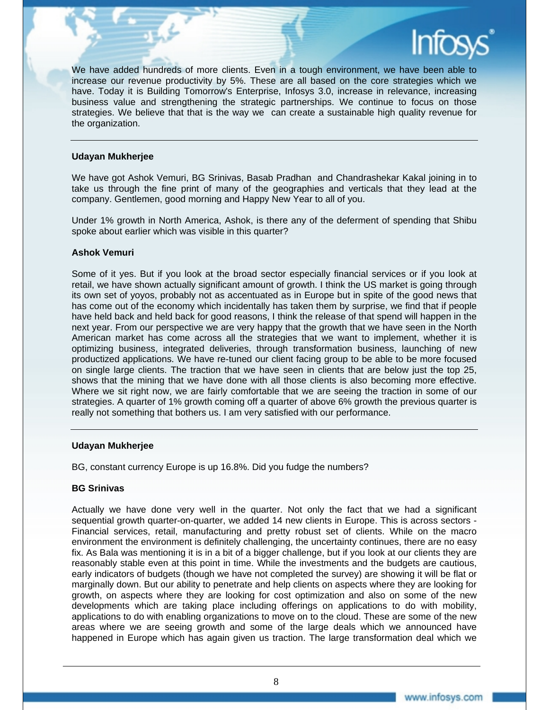

#### **Udayan Mukherjee**

We have got Ashok Vemuri, BG Srinivas, Basab Pradhan and Chandrashekar Kakal joining in to take us through the fine print of many of the geographies and verticals that they lead at the company. Gentlemen, good morning and Happy New Year to all of you.

Under 1% growth in North America, Ashok, is there any of the deferment of spending that Shibu spoke about earlier which was visible in this quarter?

# **Ashok Vemuri**

Some of it yes. But if you look at the broad sector especially financial services or if you look at retail, we have shown actually significant amount of growth. I think the US market is going through its own set of yoyos, probably not as accentuated as in Europe but in spite of the good news that has come out of the economy which incidentally has taken them by surprise, we find that if people have held back and held back for good reasons, I think the release of that spend will happen in the next year. From our perspective we are very happy that the growth that we have seen in the North American market has come across all the strategies that we want to implement, whether it is optimizing business, integrated deliveries, through transformation business, launching of new productized applications. We have re-tuned our client facing group to be able to be more focused on single large clients. The traction that we have seen in clients that are below just the top 25, shows that the mining that we have done with all those clients is also becoming more effective. Where we sit right now, we are fairly comfortable that we are seeing the traction in some of our strategies. A quarter of 1% growth coming off a quarter of above 6% growth the previous quarter is really not something that bothers us. I am very satisfied with our performance.

#### **Udayan Mukherjee**

BG, constant currency Europe is up 16.8%. Did you fudge the numbers?

# **BG Srinivas**

Actually we have done very well in the quarter. Not only the fact that we had a significant sequential growth quarter-on-quarter, we added 14 new clients in Europe. This is across sectors - Financial services, retail, manufacturing and pretty robust set of clients. While on the macro environment the environment is definitely challenging, the uncertainty continues, there are no easy fix. As Bala was mentioning it is in a bit of a bigger challenge, but if you look at our clients they are reasonably stable even at this point in time. While the investments and the budgets are cautious, early indicators of budgets (though we have not completed the survey) are showing it will be flat or marginally down. But our ability to penetrate and help clients on aspects where they are looking for growth, on aspects where they are looking for cost optimization and also on some of the new developments which are taking place including offerings on applications to do with mobility, applications to do with enabling organizations to move on to the cloud. These are some of the new areas where we are seeing growth and some of the large deals which we announced have happened in Europe which has again given us traction. The large transformation deal which we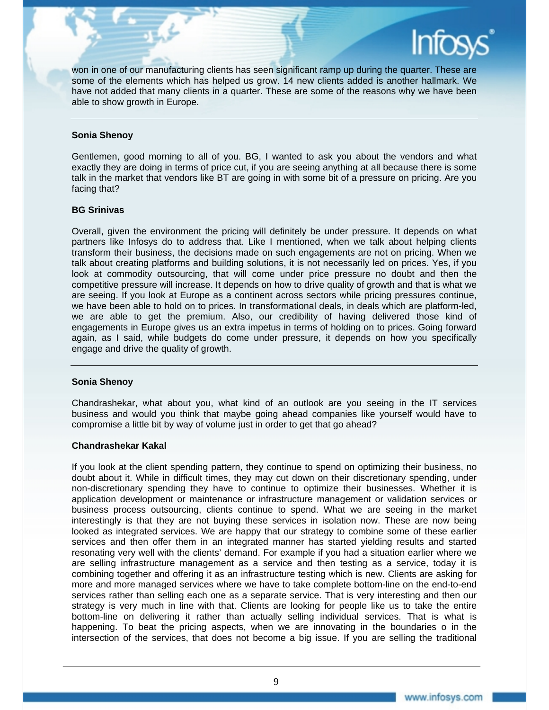

won in one of our manufacturing clients has seen significant ramp up during the quarter. These are some of the elements which has helped us grow. 14 new clients added is another hallmark. We have not added that many clients in a quarter. These are some of the reasons why we have been able to show growth in Europe.

# **Sonia Shenoy**

Gentlemen, good morning to all of you. BG, I wanted to ask you about the vendors and what exactly they are doing in terms of price cut, if you are seeing anything at all because there is some talk in the market that vendors like BT are going in with some bit of a pressure on pricing. Are you facing that?

# **BG Srinivas**

Overall, given the environment the pricing will definitely be under pressure. It depends on what partners like Infosys do to address that. Like I mentioned, when we talk about helping clients transform their business, the decisions made on such engagements are not on pricing. When we talk about creating platforms and building solutions, it is not necessarily led on prices. Yes, if you look at commodity outsourcing, that will come under price pressure no doubt and then the competitive pressure will increase. It depends on how to drive quality of growth and that is what we are seeing. If you look at Europe as a continent across sectors while pricing pressures continue, we have been able to hold on to prices. In transformational deals, in deals which are platform-led, we are able to get the premium. Also, our credibility of having delivered those kind of engagements in Europe gives us an extra impetus in terms of holding on to prices. Going forward again, as I said, while budgets do come under pressure, it depends on how you specifically engage and drive the quality of growth.

# **Sonia Shenoy**

Chandrashekar, what about you, what kind of an outlook are you seeing in the IT services business and would you think that maybe going ahead companies like yourself would have to compromise a little bit by way of volume just in order to get that go ahead?

# **Chandrashekar Kakal**

If you look at the client spending pattern, they continue to spend on optimizing their business, no doubt about it. While in difficult times, they may cut down on their discretionary spending, under non-discretionary spending they have to continue to optimize their businesses. Whether it is application development or maintenance or infrastructure management or validation services or business process outsourcing, clients continue to spend. What we are seeing in the market interestingly is that they are not buying these services in isolation now. These are now being looked as integrated services. We are happy that our strategy to combine some of these earlier services and then offer them in an integrated manner has started yielding results and started resonating very well with the clients' demand. For example if you had a situation earlier where we are selling infrastructure management as a service and then testing as a service, today it is combining together and offering it as an infrastructure testing which is new. Clients are asking for more and more managed services where we have to take complete bottom-line on the end-to-end services rather than selling each one as a separate service. That is very interesting and then our strategy is very much in line with that. Clients are looking for people like us to take the entire bottom-line on delivering it rather than actually selling individual services. That is what is happening. To beat the pricing aspects, when we are innovating in the boundaries o in the intersection of the services, that does not become a big issue. If you are selling the traditional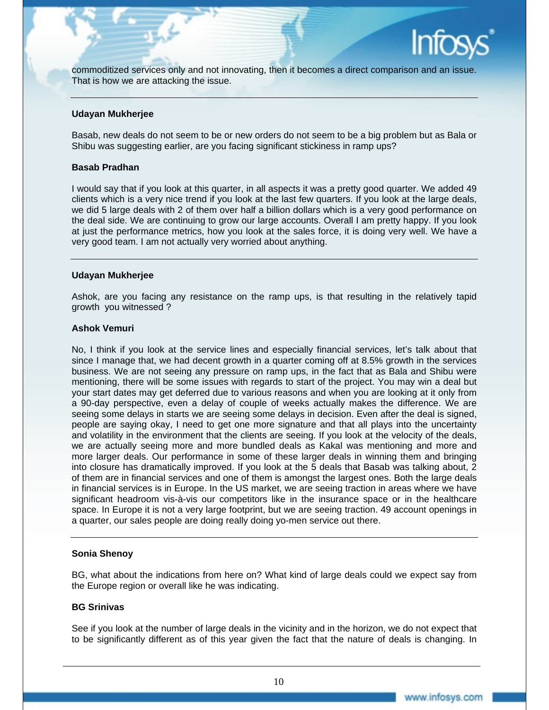

commoditized services only and not innovating, then it becomes a direct comparison and an issue. That is how we are attacking the issue.

#### **Udayan Mukherjee**

Basab, new deals do not seem to be or new orders do not seem to be a big problem but as Bala or Shibu was suggesting earlier, are you facing significant stickiness in ramp ups?

#### **Basab Pradhan**

I would say that if you look at this quarter, in all aspects it was a pretty good quarter. We added 49 clients which is a very nice trend if you look at the last few quarters. If you look at the large deals, we did 5 large deals with 2 of them over half a billion dollars which is a very good performance on the deal side. We are continuing to grow our large accounts. Overall I am pretty happy. If you look at just the performance metrics, how you look at the sales force, it is doing very well. We have a very good team. I am not actually very worried about anything.

#### **Udayan Mukherjee**

Ashok, are you facing any resistance on the ramp ups, is that resulting in the relatively tapid growth you witnessed ?

# **Ashok Vemuri**

No, I think if you look at the service lines and especially financial services, let's talk about that since I manage that, we had decent growth in a quarter coming off at 8.5% growth in the services business. We are not seeing any pressure on ramp ups, in the fact that as Bala and Shibu were mentioning, there will be some issues with regards to start of the project. You may win a deal but your start dates may get deferred due to various reasons and when you are looking at it only from a 90-day perspective, even a delay of couple of weeks actually makes the difference. We are seeing some delays in starts we are seeing some delays in decision. Even after the deal is signed, people are saying okay, I need to get one more signature and that all plays into the uncertainty and volatility in the environment that the clients are seeing. If you look at the velocity of the deals, we are actually seeing more and more bundled deals as Kakal was mentioning and more and more larger deals. Our performance in some of these larger deals in winning them and bringing into closure has dramatically improved. If you look at the 5 deals that Basab was talking about, 2 of them are in financial services and one of them is amongst the largest ones. Both the large deals in financial services is in Europe. In the US market, we are seeing traction in areas where we have significant headroom vis-à-vis our competitors like in the insurance space or in the healthcare space. In Europe it is not a very large footprint, but we are seeing traction. 49 account openings in a quarter, our sales people are doing really doing yo-men service out there.

# **Sonia Shenoy**

BG, what about the indications from here on? What kind of large deals could we expect say from the Europe region or overall like he was indicating.

# **BG Srinivas**

See if you look at the number of large deals in the vicinity and in the horizon, we do not expect that to be significantly different as of this year given the fact that the nature of deals is changing. In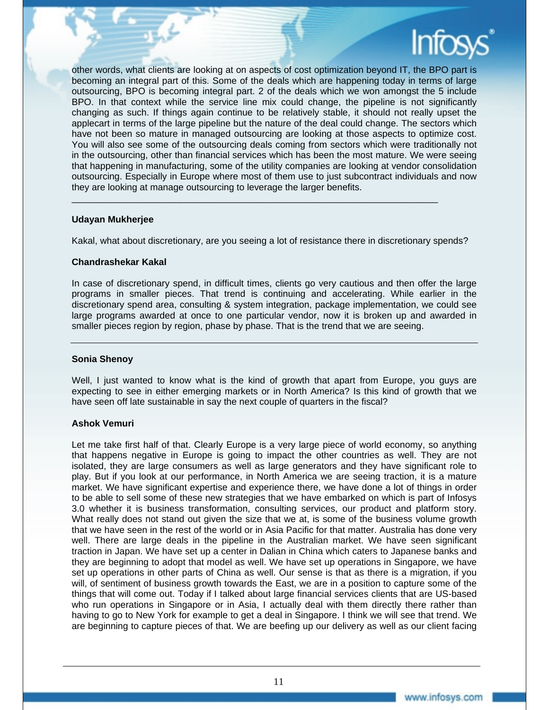

other words, what clients are looking at on aspects of cost optimization beyond IT, the BPO part is becoming an integral part of this. Some of the deals which are happening today in terms of large outsourcing, BPO is becoming integral part. 2 of the deals which we won amongst the 5 include BPO. In that context while the service line mix could change, the pipeline is not significantly changing as such. If things again continue to be relatively stable, it should not really upset the applecart in terms of the large pipeline but the nature of the deal could change. The sectors which have not been so mature in managed outsourcing are looking at those aspects to optimize cost. You will also see some of the outsourcing deals coming from sectors which were traditionally not in the outsourcing, other than financial services which has been the most mature. We were seeing that happening in manufacturing, some of the utility companies are looking at vendor consolidation outsourcing. Especially in Europe where most of them use to just subcontract individuals and now they are looking at manage outsourcing to leverage the larger benefits.

# **Udayan Mukherjee**

Kakal, what about discretionary, are you seeing a lot of resistance there in discretionary spends?

 $\_$  , and the set of the set of the set of the set of the set of the set of the set of the set of the set of the set of the set of the set of the set of the set of the set of the set of the set of the set of the set of th

# **Chandrashekar Kakal**

In case of discretionary spend, in difficult times, clients go very cautious and then offer the large programs in smaller pieces. That trend is continuing and accelerating. While earlier in the discretionary spend area, consulting & system integration, package implementation, we could see large programs awarded at once to one particular vendor, now it is broken up and awarded in smaller pieces region by region, phase by phase. That is the trend that we are seeing.

# **Sonia Shenoy**

Well, I just wanted to know what is the kind of growth that apart from Europe, you guys are expecting to see in either emerging markets or in North America? Is this kind of growth that we have seen off late sustainable in say the next couple of quarters in the fiscal?

# **Ashok Vemuri**

Let me take first half of that. Clearly Europe is a very large piece of world economy, so anything that happens negative in Europe is going to impact the other countries as well. They are not isolated, they are large consumers as well as large generators and they have significant role to play. But if you look at our performance, in North America we are seeing traction, it is a mature market. We have significant expertise and experience there, we have done a lot of things in order to be able to sell some of these new strategies that we have embarked on which is part of Infosys 3.0 whether it is business transformation, consulting services, our product and platform story. What really does not stand out given the size that we at, is some of the business volume growth that we have seen in the rest of the world or in Asia Pacific for that matter. Australia has done very well. There are large deals in the pipeline in the Australian market. We have seen significant traction in Japan. We have set up a center in Dalian in China which caters to Japanese banks and they are beginning to adopt that model as well. We have set up operations in Singapore, we have set up operations in other parts of China as well. Our sense is that as there is a migration, if you will, of sentiment of business growth towards the East, we are in a position to capture some of the things that will come out. Today if I talked about large financial services clients that are US-based who run operations in Singapore or in Asia, I actually deal with them directly there rather than having to go to New York for example to get a deal in Singapore. I think we will see that trend. We are beginning to capture pieces of that. We are beefing up our delivery as well as our client facing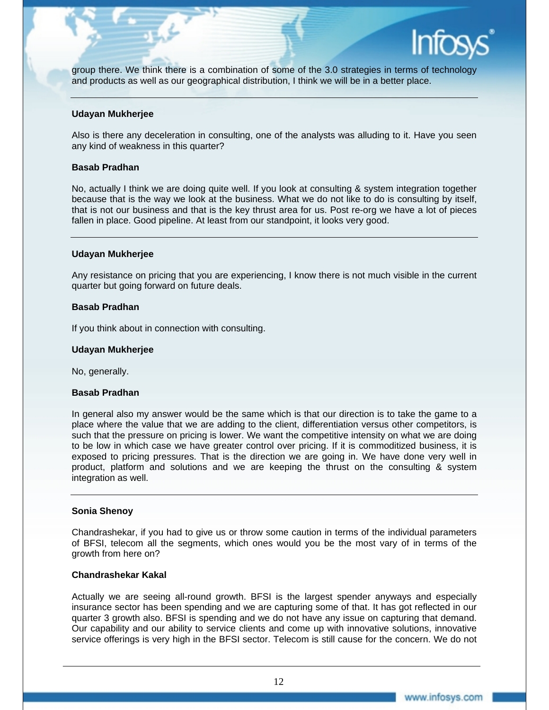

group there. We think there is a combination of some of the 3.0 strategies in terms of technology and products as well as our geographical distribution, I think we will be in a better place.

#### **Udayan Mukherjee**

Also is there any deceleration in consulting, one of the analysts was alluding to it. Have you seen any kind of weakness in this quarter?

#### **Basab Pradhan**

No, actually I think we are doing quite well. If you look at consulting & system integration together because that is the way we look at the business. What we do not like to do is consulting by itself, that is not our business and that is the key thrust area for us. Post re-org we have a lot of pieces fallen in place. Good pipeline. At least from our standpoint, it looks very good.

#### **Udayan Mukherjee**

Any resistance on pricing that you are experiencing, I know there is not much visible in the current quarter but going forward on future deals.

#### **Basab Pradhan**

If you think about in connection with consulting.

#### **Udayan Mukherjee**

No, generally.

#### **Basab Pradhan**

In general also my answer would be the same which is that our direction is to take the game to a place where the value that we are adding to the client, differentiation versus other competitors, is such that the pressure on pricing is lower. We want the competitive intensity on what we are doing to be low in which case we have greater control over pricing. If it is commoditized business, it is exposed to pricing pressures. That is the direction we are going in. We have done very well in product, platform and solutions and we are keeping the thrust on the consulting & system integration as well.

# **Sonia Shenoy**

Chandrashekar, if you had to give us or throw some caution in terms of the individual parameters of BFSI, telecom all the segments, which ones would you be the most vary of in terms of the growth from here on?

# **Chandrashekar Kakal**

Actually we are seeing all-round growth. BFSI is the largest spender anyways and especially insurance sector has been spending and we are capturing some of that. It has got reflected in our quarter 3 growth also. BFSI is spending and we do not have any issue on capturing that demand. Our capability and our ability to service clients and come up with innovative solutions, innovative service offerings is very high in the BFSI sector. Telecom is still cause for the concern. We do not